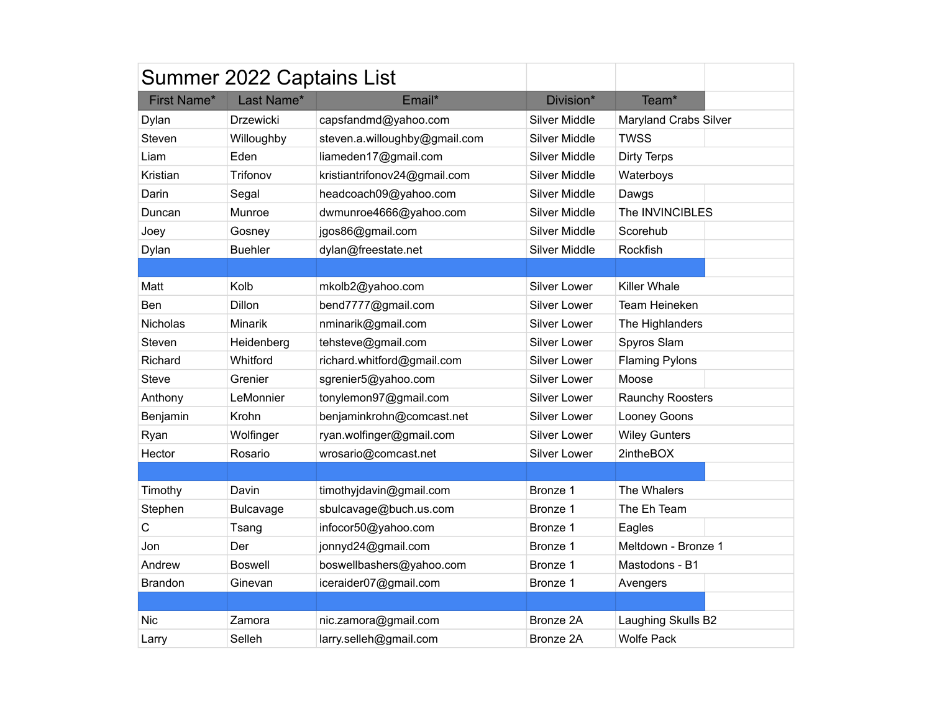|                 | Summer 2022 Captains List |                               |                      |                       |
|-----------------|---------------------------|-------------------------------|----------------------|-----------------------|
| First Name*     | Last Name*                | Email*                        | Division*            | Team*                 |
| Dylan           | <b>Drzewicki</b>          | capsfandmd@yahoo.com          | <b>Silver Middle</b> | Maryland Crabs Silver |
| Steven          | Willoughby                | steven.a.willoughby@gmail.com | <b>Silver Middle</b> | <b>TWSS</b>           |
| Liam            | Eden                      | liameden17@gmail.com          | <b>Silver Middle</b> | <b>Dirty Terps</b>    |
| Kristian        | Trifonov                  | kristiantrifonov24@gmail.com  | <b>Silver Middle</b> | Waterboys             |
| Darin           | Segal                     | headcoach09@yahoo.com         | <b>Silver Middle</b> | Dawgs                 |
| Duncan          | Munroe                    | dwmunroe4666@yahoo.com        | Silver Middle        | The INVINCIBLES       |
| Joey            | Gosney                    | jgos86@gmail.com              | <b>Silver Middle</b> | Scorehub              |
| Dylan           | <b>Buehler</b>            | dylan@freestate.net           | Silver Middle        | Rockfish              |
|                 |                           |                               |                      |                       |
| Matt            | Kolb                      | mkolb2@yahoo.com              | Silver Lower         | <b>Killer Whale</b>   |
| Ben             | Dillon                    | bend7777@gmail.com            | <b>Silver Lower</b>  | Team Heineken         |
| <b>Nicholas</b> | <b>Minarik</b>            | nminarik@gmail.com            | Silver Lower         | The Highlanders       |
| Steven          | Heidenberg                | tehsteve@gmail.com            | <b>Silver Lower</b>  | Spyros Slam           |
| Richard         | Whitford                  | richard.whitford@gmail.com    | <b>Silver Lower</b>  | <b>Flaming Pylons</b> |
| <b>Steve</b>    | Grenier                   | sgrenier5@yahoo.com           | Silver Lower         | Moose                 |
| Anthony         | LeMonnier                 | tonylemon97@gmail.com         | Silver Lower         | Raunchy Roosters      |
| Benjamin        | Krohn                     | benjaminkrohn@comcast.net     | Silver Lower         | Looney Goons          |
| Ryan            | Wolfinger                 | ryan.wolfinger@gmail.com      | Silver Lower         | <b>Wiley Gunters</b>  |
| Hector          | Rosario                   | wrosario@comcast.net          | <b>Silver Lower</b>  | 2intheBOX             |
|                 |                           |                               |                      |                       |
| Timothy         | Davin                     | timothyjdavin@gmail.com       | Bronze 1             | The Whalers           |
| Stephen         | <b>Bulcavage</b>          | sbulcavage@buch.us.com        | Bronze 1             | The Eh Team           |
| $\mathsf C$     | Tsang                     | infocor50@yahoo.com           | Bronze 1             | Eagles                |
| Jon             | Der                       | jonnyd24@gmail.com            | Bronze 1             | Meltdown - Bronze 1   |
| Andrew          | <b>Boswell</b>            | boswellbashers@yahoo.com      | Bronze 1             | Mastodons - B1        |
| <b>Brandon</b>  | Ginevan                   | iceraider07@gmail.com         | Bronze 1             | Avengers              |
|                 |                           |                               |                      |                       |
| <b>Nic</b>      | Zamora                    | nic.zamora@gmail.com          | Bronze 2A            | Laughing Skulls B2    |
| Larry           | Selleh                    | larry.selleh@gmail.com        | Bronze 2A            | <b>Wolfe Pack</b>     |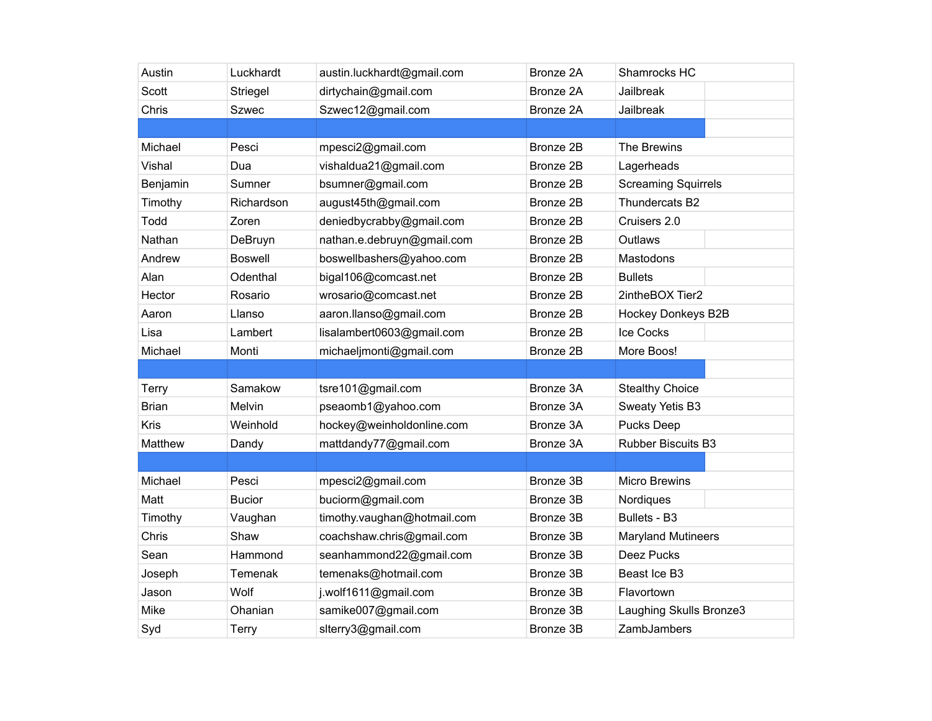| Austin       | Luckhardt      | austin.luckhardt@gmail.com  | Bronze 2A | Shamrocks HC               |
|--------------|----------------|-----------------------------|-----------|----------------------------|
| Scott        | Striegel       | dirtychain@gmail.com        | Bronze 2A | <b>Jailbreak</b>           |
| Chris        | <b>Szwec</b>   | Szwec12@gmail.com           | Bronze 2A | Jailbreak                  |
|              |                |                             |           |                            |
| Michael      | Pesci          | mpesci2@gmail.com           | Bronze 2B | The Brewins                |
| Vishal       | Dua            | vishaldua21@gmail.com       | Bronze 2B | Lagerheads                 |
| Benjamin     | Sumner         | bsumner@gmail.com           | Bronze 2B | <b>Screaming Squirrels</b> |
| Timothy      | Richardson     | august45th@gmail.com        | Bronze 2B | Thundercats B2             |
| Todd         | Zoren          | deniedbycrabby@gmail.com    | Bronze 2B | Cruisers 2.0               |
| Nathan       | DeBruyn        | nathan.e.debruyn@gmail.com  | Bronze 2B | Outlaws                    |
| Andrew       | <b>Boswell</b> | boswellbashers@yahoo.com    | Bronze 2B | Mastodons                  |
| Alan         | Odenthal       | bigal106@comcast.net        | Bronze 2B | <b>Bullets</b>             |
| Hector       | Rosario        | wrosario@comcast.net        | Bronze 2B | 2intheBOX Tier2            |
| Aaron        | Llanso         | aaron.llanso@gmail.com      | Bronze 2B | Hockey Donkeys B2B         |
| Lisa         | Lambert        | lisalambert0603@gmail.com   | Bronze 2B | Ice Cocks                  |
| Michael      | Monti          | michaeljmonti@gmail.com     | Bronze 2B | More Boos!                 |
|              |                |                             |           |                            |
| Terry        | Samakow        | tsre101@gmail.com           | Bronze 3A | <b>Stealthy Choice</b>     |
| <b>Brian</b> | Melvin         | pseaomb1@yahoo.com          | Bronze 3A | Sweaty Yetis B3            |
| Kris         | Weinhold       | hockey@weinholdonline.com   | Bronze 3A | <b>Pucks Deep</b>          |
| Matthew      | Dandy          | mattdandy77@gmail.com       | Bronze 3A | <b>Rubber Biscuits B3</b>  |
|              |                |                             |           |                            |
| Michael      | Pesci          | mpesci2@gmail.com           | Bronze 3B | <b>Micro Brewins</b>       |
| Matt         | <b>Bucior</b>  | buciorm@gmail.com           | Bronze 3B | Nordiques                  |
| Timothy      | Vaughan        | timothy.vaughan@hotmail.com | Bronze 3B | Bullets - B3               |
| Chris        | Shaw           | coachshaw.chris@gmail.com   | Bronze 3B | <b>Maryland Mutineers</b>  |
| Sean         | Hammond        | seanhammond22@gmail.com     | Bronze 3B | Deez Pucks                 |
| Joseph       | Temenak        | temenaks@hotmail.com        | Bronze 3B | Beast Ice B3               |
| Jason        | Wolf           | j.wolf1611@gmail.com        | Bronze 3B | Flavortown                 |
| Mike         | Ohanian        | samike007@gmail.com         | Bronze 3B | Laughing Skulls Bronze3    |
| Syd          | <b>Terry</b>   | slterry3@gmail.com          | Bronze 3B | ZambJambers                |